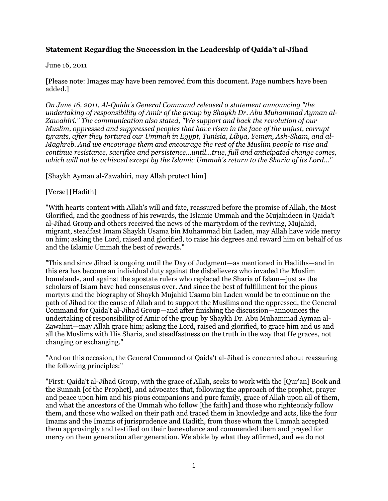# **Statement Regarding the Succession in the Leadership of Qaida't al-Jihad**

#### June 16, 2011

[Please note: Images may have been removed from this document. Page numbers have been added.]

*On June 16, 2011, Al-Qaida's General Command released a statement announcing "the undertaking of responsibility of Amir of the group by Shaykh Dr. Abu Muhammad Ayman al-Zawahiri." The communication also stated, "We support and back the revolution of our Muslim, oppressed and suppressed peoples that have risen in the face of the unjust, corrupt tyrants, after they tortured our Ummah in Egypt, Tunisia, Libya, Yemen, Ash-Sham, and al-Maghreb. And we encourage them and encourage the rest of the Muslim people to rise and continue resistance, sacrifice and persistence...until...true, full and anticipated change comes, which will not be achieved except by the Islamic Ummah's return to the Sharia of its Lord..."*

[Shaykh Ayman al-Zawahiri, may Allah protect him]

#### [Verse] [Hadith]

"With hearts content with Allah's will and fate, reassured before the promise of Allah, the Most Glorified, and the goodness of his rewards, the Islamic Ummah and the Mujahideen in Qaida't al-Jihad Group and others received the news of the martyrdom of the reviving, Mujahid, migrant, steadfast Imam Shaykh Usama bin Muhammad bin Laden, may Allah have wide mercy on him; asking the Lord, raised and glorified, to raise his degrees and reward him on behalf of us and the Islamic Ummah the best of rewards."

"This and since Jihad is ongoing until the Day of Judgment—as mentioned in Hadiths—and in this era has become an individual duty against the disbelievers who invaded the Muslim homelands, and against the apostate rulers who replaced the Sharia of Islam—just as the scholars of Islam have had consensus over. And since the best of fulfillment for the pious martyrs and the biography of Shaykh Mujahid Usama bin Laden would be to continue on the path of Jihad for the cause of Allah and to support the Muslims and the oppressed, the General Command for Qaida't al-Jihad Group—and after finishing the discussion—announces the undertaking of responsibility of Amir of the group by Shaykh Dr. Abu Muhammad Ayman al-Zawahiri—may Allah grace him; asking the Lord, raised and glorified, to grace him and us and all the Muslims with His Sharia, and steadfastness on the truth in the way that He graces, not changing or exchanging."

"And on this occasion, the General Command of Qaida't al-Jihad is concerned about reassuring the following principles:"

"First: Qaida't al-Jihad Group, with the grace of Allah, seeks to work with the [Qur'an] Book and the Sunnah [of the Prophet], and advocates that, following the approach of the prophet, prayer and peace upon him and his pious companions and pure family, grace of Allah upon all of them, and what the ancestors of the Ummah who follow [the faith] and those who righteously follow them, and those who walked on their path and traced them in knowledge and acts, like the four Imams and the Imams of jurisprudence and Hadith, from those whom the Ummah accepted them approvingly and testified on their benevolence and commended them and prayed for mercy on them generation after generation. We abide by what they affirmed, and we do not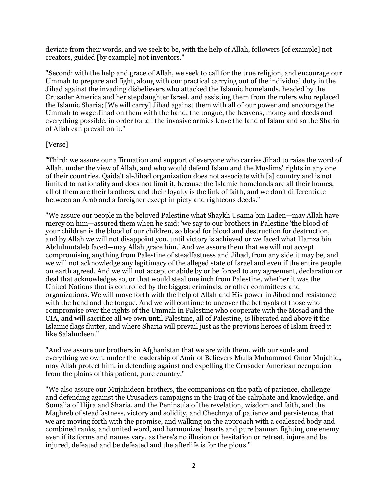deviate from their words, and we seek to be, with the help of Allah, followers [of example] not creators, guided [by example] not inventors."

"Second: with the help and grace of Allah, we seek to call for the true religion, and encourage our Ummah to prepare and fight, along with our practical carrying out of the individual duty in the Jihad against the invading disbelievers who attacked the Islamic homelands, headed by the Crusader America and her stepdaughter Israel, and assisting them from the rulers who replaced the Islamic Sharia; [We will carry] Jihad against them with all of our power and encourage the Ummah to wage Jihad on them with the hand, the tongue, the heavens, money and deeds and everything possible, in order for all the invasive armies leave the land of Islam and so the Sharia of Allah can prevail on it."

# [Verse]

"Third: we assure our affirmation and support of everyone who carries Jihad to raise the word of Allah, under the view of Allah, and who would defend Islam and the Muslims' rights in any one of their countries. Qaida't al-Jihad organization does not associate with [a] country and is not limited to nationality and does not limit it, because the Islamic homelands are all their homes, all of them are their brothers, and their loyalty is the link of faith, and we don't differentiate between an Arab and a foreigner except in piety and righteous deeds."

"We assure our people in the beloved Palestine what Shaykh Usama bin Laden—may Allah have mercy on him—assured them when he said: 'we say to our brothers in Palestine 'the blood of your children is the blood of our children, so blood for blood and destruction for destruction, and by Allah we will not disappoint you, until victory is achieved or we faced what Hamza bin Abdulmutaleb faced—may Allah grace him.' And we assure them that we will not accept compromising anything from Palestine of steadfastness and Jihad, from any side it may be, and we will not acknowledge any legitimacy of the alleged state of Israel and even if the entire people on earth agreed. And we will not accept or abide by or be forced to any agreement, declaration or deal that acknowledges so, or that would steal one inch from Palestine, whether it was the United Nations that is controlled by the biggest criminals, or other committees and organizations. We will move forth with the help of Allah and His power in Jihad and resistance with the hand and the tongue. And we will continue to uncover the betrayals of those who compromise over the rights of the Ummah in Palestine who cooperate with the Mosad and the CIA, and will sacrifice all we own until Palestine, all of Palestine, is liberated and above it the Islamic flags flutter, and where Sharia will prevail just as the previous heroes of Islam freed it like Salahudeen."

"And we assure our brothers in Afghanistan that we are with them, with our souls and everything we own, under the leadership of Amir of Believers Mulla Muhammad Omar Mujahid, may Allah protect him, in defending against and expelling the Crusader American occupation from the plains of this patient, pure country."

"We also assure our Mujahideen brothers, the companions on the path of patience, challenge and defending against the Crusaders campaigns in the Iraq of the caliphate and knowledge, and Somalia of Hijra and Sharia, and the Peninsula of the revelation, wisdom and faith, and the Maghreb of steadfastness, victory and solidity, and Chechnya of patience and persistence, that we are moving forth with the promise, and walking on the approach with a coalesced body and combined ranks, and united word, and harmonized hearts and pure banner, fighting one enemy even if its forms and names vary, as there's no illusion or hesitation or retreat, injure and be injured, defeated and be defeated and the afterlife is for the pious."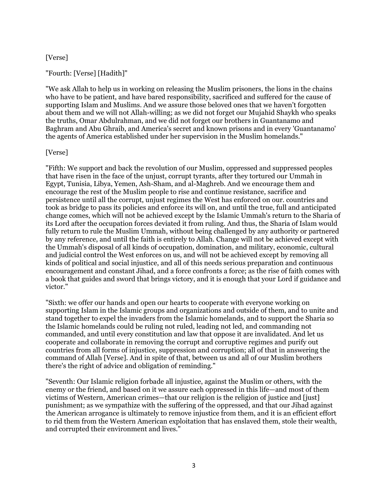# [Verse]

# "Fourth: [Verse] [Hadith]"

"We ask Allah to help us in working on releasing the Muslim prisoners, the lions in the chains who have to be patient, and have bared responsibility, sacrificed and suffered for the cause of supporting Islam and Muslims. And we assure those beloved ones that we haven't forgotten about them and we will not Allah-willing; as we did not forget our Mujahid Shaykh who speaks the truths, Omar Abdulrahman, and we did not forget our brothers in Guantanamo and Baghram and Abu Ghraib, and America's secret and known prisons and in every 'Guantanamo' the agents of America established under her supervision in the Muslim homelands."

# [Verse]

"Fifth: We support and back the revolution of our Muslim, oppressed and suppressed peoples that have risen in the face of the unjust, corrupt tyrants, after they tortured our Ummah in Egypt, Tunisia, Libya, Yemen, Ash-Sham, and al-Maghreb. And we encourage them and encourage the rest of the Muslim people to rise and continue resistance, sacrifice and persistence until all the corrupt, unjust regimes the West has enforced on our. countries and took as bridge to pass its policies and enforce its will on, and until the true, full and anticipated change comes, which will not be achieved except by the Islamic Ummah's return to the Sharia of its Lord after the occupation forces deviated it from ruling. And thus, the Sharia of Islam would fully return to rule the Muslim Ummah, without being challenged by any authority or partnered by any reference, and until the faith is entirely to Allah. Change will not be achieved except with the Ummah's disposal of all kinds of occupation, domination, and military, economic, cultural and judicial control the West enforces on us, and will not be achieved except by removing all kinds of political and social injustice, and all of this needs serious preparation and continuous encouragement and constant Jihad, and a force confronts a force; as the rise of faith comes with a book that guides and sword that brings victory, and it is enough that your Lord if guidance and victor."

"Sixth: we offer our hands and open our hearts to cooperate with everyone working on supporting Islam in the Islamic groups and organizations and outside of them, and to unite and stand together to expel the invaders from the Islamic homelands, and to support the Sharia so the Islamic homelands could be ruling not ruled, leading not led, and commanding not commanded, and until every constitution and law that oppose it are invalidated. And let us cooperate and collaborate in removing the corrupt and corruptive regimes and purify out countries from all forms of injustice, suppression and corruption; all of that in answering the command of Allah [Verse]. And in spite of that, between us and all of our Muslim brothers there's the right of advice and obligation of reminding."

"Seventh: Our Islamic religion forbade all injustice, against the Muslim or others, with the enemy or the friend, and based on it we assure each oppressed in this life—and most of them victims of Western, American crimes—that our religion is the religion of justice and [just] punishment; as we sympathize with the suffering of the oppressed, and that our Jihad against the American arrogance is ultimately to remove injustice from them, and it is an efficient effort to rid them from the Western American exploitation that has enslaved them, stole their wealth, and corrupted their environment and lives."